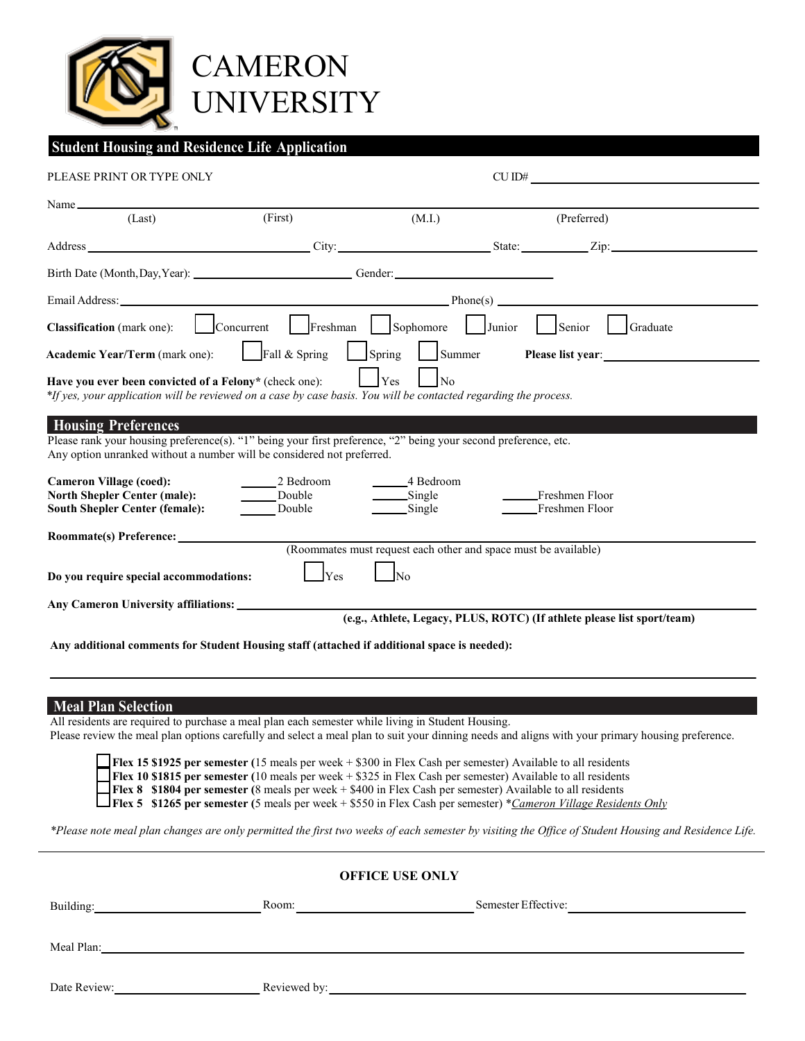

## **Student Housing and Residence Life Application**

| PLEASE PRINT OR TYPE ONLY                                                                                                                                                                                                      |                               |                                                                     |        | CUID#                                                                   |  |  |  |  |
|--------------------------------------------------------------------------------------------------------------------------------------------------------------------------------------------------------------------------------|-------------------------------|---------------------------------------------------------------------|--------|-------------------------------------------------------------------------|--|--|--|--|
| $Name_$                                                                                                                                                                                                                        |                               |                                                                     |        |                                                                         |  |  |  |  |
| (Last)                                                                                                                                                                                                                         | (First)                       | (M.I.)                                                              |        | (Preferred)                                                             |  |  |  |  |
| Address Zip: City: City: State: Zip: Zip:                                                                                                                                                                                      |                               |                                                                     |        |                                                                         |  |  |  |  |
| Birth Date (Month, Day, Year): Conder: Conder:                                                                                                                                                                                 |                               |                                                                     |        |                                                                         |  |  |  |  |
| Email Address: Phone (s) Phone (s) Phone (s) Phone (s) Phone (s) Phone (s) Phone (s) Phone (s) Phone (s) Phone (s) Phone (s) Phone (s) Phone (s) Phone (s) Phone (s) Phone (s) Phone (s) Phone (s) Phone (s) Phone (s) Phone ( |                               |                                                                     |        |                                                                         |  |  |  |  |
| <b>Classification</b> (mark one):                                                                                                                                                                                              | Concurrent                    | Freshman Sophomore                                                  | Junior | Senior<br>Graduate                                                      |  |  |  |  |
| Academic Year/Term (mark one):                                                                                                                                                                                                 | $\Box$ Fall & Spring          | $S_{\text{pring}}$<br>Summer                                        |        | Please list year:<br><u> </u>                                           |  |  |  |  |
| Yes<br>N <sub>0</sub><br>Have you ever been convicted of a Felony* (check one):<br>*If yes, your application will be reviewed on a case by case basis. You will be contacted regarding the process.                            |                               |                                                                     |        |                                                                         |  |  |  |  |
| <b>Housing Preferences</b><br>Please rank your housing preference(s). "1" being your first preference, "2" being your second preference, etc.<br>Any option unranked without a number will be considered not preferred.        |                               |                                                                     |        |                                                                         |  |  |  |  |
| <b>Cameron Village (coed):</b><br><b>North Shepler Center (male):</b><br><b>South Shepler Center (female):</b>                                                                                                                 | 2 Bedroom<br>Double<br>Double | _______4 Bedroom<br>$\frac{\text{Single}}{\text{Single}}$<br>Single |        | Freshmen Floor<br>Freshmen Floor                                        |  |  |  |  |
| Roommate(s) Preference:<br>(Roommates must request each other and space must be available)                                                                                                                                     |                               |                                                                     |        |                                                                         |  |  |  |  |
|                                                                                                                                                                                                                                |                               |                                                                     |        |                                                                         |  |  |  |  |
| Do you require special accommodations:                                                                                                                                                                                         | Yes                           | N <sub>0</sub>                                                      |        |                                                                         |  |  |  |  |
|                                                                                                                                                                                                                                |                               |                                                                     |        | (e.g., Athlete, Legacy, PLUS, ROTC) (If athlete please list sport/team) |  |  |  |  |
| Any additional comments for Student Housing staff (attached if additional space is needed):                                                                                                                                    |                               |                                                                     |        |                                                                         |  |  |  |  |

#### **Meal Plan Selection**

All residents are required to purchase a meal plan each semester while living in Student Housing.

Please review the meal plan options carefully and select a meal plan to suit your dinning needs and aligns with your primary housing preference.

 **Flex 15 \$1925 per semester (**15 meals per week + \$300 in Flex Cash per semester) Available to all residents

**Flex 10 \$1815** per semester (10 meals per week + \$325 in Flex Cash per semester) Available to all residents

 **Flex 8 \$1804 per semester (**8 meals per week + \$400 in Flex Cash per semester) Available to all residents

**FRA 6** \$1265 per semester (5 meals per week + \$550 in Flex Cash per semester)<sup>\*</sup> <u>Cameron Village Residents Only</u>

*\*Please note meal plan changes are only permitted the first two weeks of each semester by visiting the Office of Student Housing and Residence Life.*

# **OFFICE USE ONLY** Building: Room: Room: Room: Room: Room: Room: Remester Effective: Meal Plan: Date Review: Reviewed by: Reviewed by: